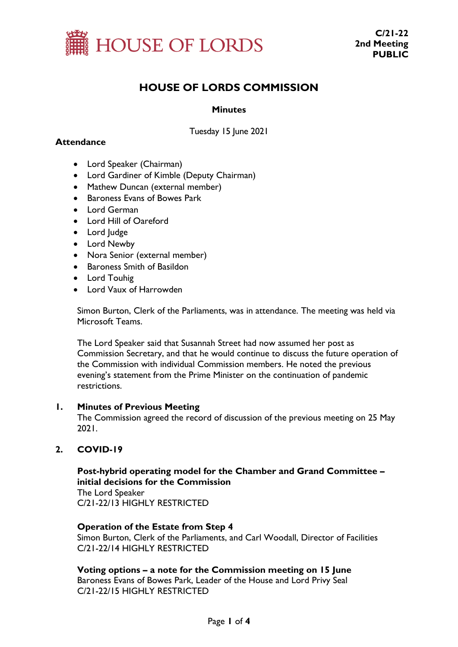

# **HOUSE OF LORDS COMMISSION**

### **Minutes**

Tuesday 15 June 2021

## **Attendance**

- Lord Speaker (Chairman)
- Lord Gardiner of Kimble (Deputy Chairman)
- Mathew Duncan (external member)
- Baroness Evans of Bowes Park
- Lord German
- Lord Hill of Oareford
- Lord Judge
- Lord Newby
- Nora Senior (external member)
- Baroness Smith of Basildon
- Lord Touhig
- Lord Vaux of Harrowden

Simon Burton, Clerk of the Parliaments, was in attendance. The meeting was held via Microsoft Teams.

The Lord Speaker said that Susannah Street had now assumed her post as Commission Secretary, and that he would continue to discuss the future operation of the Commission with individual Commission members. He noted the previous evening's statement from the Prime Minister on the continuation of pandemic restrictions.

### **1. Minutes of Previous Meeting**

The Commission agreed the record of discussion of the previous meeting on 25 May 2021.

# **2. COVID-19**

#### **Post-hybrid operating model for the Chamber and Grand Committee – initial decisions for the Commission** The Lord Speaker

C/21-22/13 HIGHLY RESTRICTED

### **Operation of the Estate from Step 4**

Simon Burton, Clerk of the Parliaments, and Carl Woodall, Director of Facilities C/21-22/14 HIGHLY RESTRICTED

**Voting options – a note for the Commission meeting on 15 June**

Baroness Evans of Bowes Park, Leader of the House and Lord Privy Seal C/21-22/15 HIGHLY RESTRICTED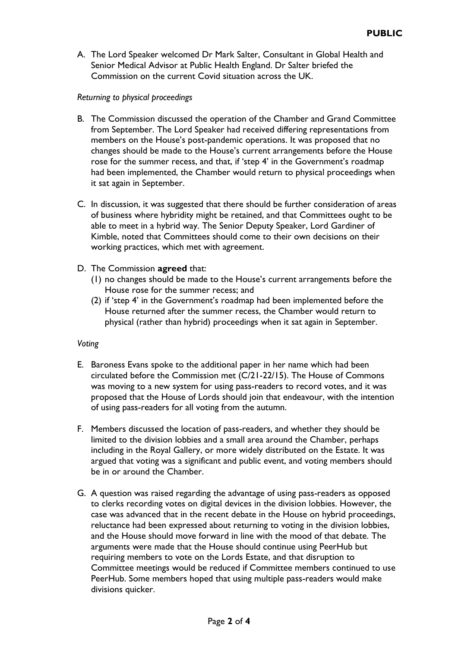A. The Lord Speaker welcomed Dr Mark Salter, Consultant in Global Health and Senior Medical Advisor at Public Health England. Dr Salter briefed the Commission on the current Covid situation across the UK.

## *Returning to physical proceedings*

- B. The Commission discussed the operation of the Chamber and Grand Committee from September. The Lord Speaker had received differing representations from members on the House's post-pandemic operations. It was proposed that no changes should be made to the House's current arrangements before the House rose for the summer recess, and that, if 'step 4' in the Government's roadmap had been implemented, the Chamber would return to physical proceedings when it sat again in September.
- C. In discussion, it was suggested that there should be further consideration of areas of business where hybridity might be retained, and that Committees ought to be able to meet in a hybrid way. The Senior Deputy Speaker, Lord Gardiner of Kimble, noted that Committees should come to their own decisions on their working practices, which met with agreement.
- D. The Commission **agreed** that:
	- (1) no changes should be made to the House's current arrangements before the House rose for the summer recess; and
	- (2) if 'step 4' in the Government's roadmap had been implemented before the House returned after the summer recess, the Chamber would return to physical (rather than hybrid) proceedings when it sat again in September.

### *Voting*

- E. Baroness Evans spoke to the additional paper in her name which had been circulated before the Commission met (C/21-22/15). The House of Commons was moving to a new system for using pass-readers to record votes, and it was proposed that the House of Lords should join that endeavour, with the intention of using pass-readers for all voting from the autumn.
- F. Members discussed the location of pass-readers, and whether they should be limited to the division lobbies and a small area around the Chamber, perhaps including in the Royal Gallery, or more widely distributed on the Estate. It was argued that voting was a significant and public event, and voting members should be in or around the Chamber.
- G. A question was raised regarding the advantage of using pass-readers as opposed to clerks recording votes on digital devices in the division lobbies. However, the case was advanced that in the recent debate in the House on hybrid proceedings, reluctance had been expressed about returning to voting in the division lobbies, and the House should move forward in line with the mood of that debate. The arguments were made that the House should continue using PeerHub but requiring members to vote on the Lords Estate, and that disruption to Committee meetings would be reduced if Committee members continued to use PeerHub. Some members hoped that using multiple pass-readers would make divisions quicker.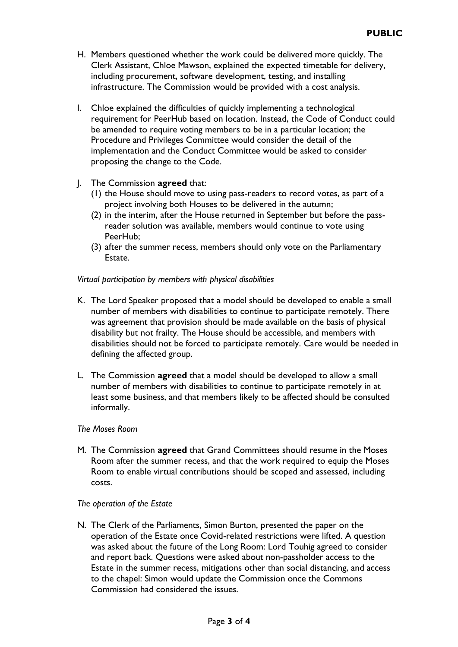- H. Members questioned whether the work could be delivered more quickly. The Clerk Assistant, Chloe Mawson, explained the expected timetable for delivery, including procurement, software development, testing, and installing infrastructure. The Commission would be provided with a cost analysis.
- I. Chloe explained the difficulties of quickly implementing a technological requirement for PeerHub based on location. Instead, the Code of Conduct could be amended to require voting members to be in a particular location; the Procedure and Privileges Committee would consider the detail of the implementation and the Conduct Committee would be asked to consider proposing the change to the Code.
- J. The Commission **agreed** that:
	- (1) the House should move to using pass-readers to record votes, as part of a project involving both Houses to be delivered in the autumn;
	- (2) in the interim, after the House returned in September but before the passreader solution was available, members would continue to vote using PeerHub;
	- (3) after the summer recess, members should only vote on the Parliamentary Estate.

# *Virtual participation by members with physical disabilities*

- K. The Lord Speaker proposed that a model should be developed to enable a small number of members with disabilities to continue to participate remotely. There was agreement that provision should be made available on the basis of physical disability but not frailty. The House should be accessible, and members with disabilities should not be forced to participate remotely. Care would be needed in defining the affected group.
- L. The Commission **agreed** that a model should be developed to allow a small number of members with disabilities to continue to participate remotely in at least some business, and that members likely to be affected should be consulted informally.

# *The Moses Room*

M. The Commission **agreed** that Grand Committees should resume in the Moses Room after the summer recess, and that the work required to equip the Moses Room to enable virtual contributions should be scoped and assessed, including costs.

### *The operation of the Estate*

N. The Clerk of the Parliaments, Simon Burton, presented the paper on the operation of the Estate once Covid-related restrictions were lifted. A question was asked about the future of the Long Room: Lord Touhig agreed to consider and report back. Questions were asked about non-passholder access to the Estate in the summer recess, mitigations other than social distancing, and access to the chapel: Simon would update the Commission once the Commons Commission had considered the issues.